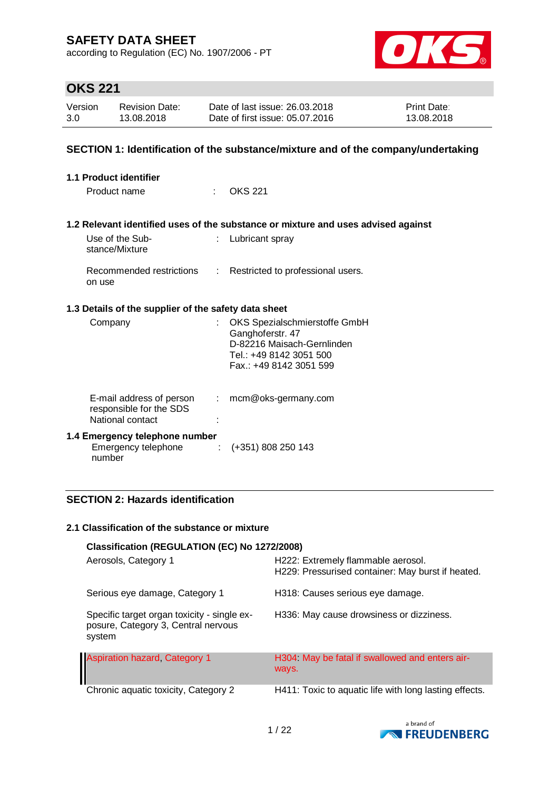according to Regulation (EC) No. 1907/2006 - PT



## **OKS 221**

| Version | <b>Revision Date:</b> | Date of last issue: 26.03.2018  | <b>Print Date:</b> |
|---------|-----------------------|---------------------------------|--------------------|
| 3.0     | 13.08.2018            | Date of first issue: 05.07.2016 | 13.08.2018         |

### **SECTION 1: Identification of the substance/mixture and of the company/undertaking**

| 1.1 Product identifier                                                  |                           |                                                                                                                                       |  |  |
|-------------------------------------------------------------------------|---------------------------|---------------------------------------------------------------------------------------------------------------------------------------|--|--|
| Product name                                                            | ti i                      | OKS 221                                                                                                                               |  |  |
|                                                                         |                           |                                                                                                                                       |  |  |
|                                                                         |                           | 1.2 Relevant identified uses of the substance or mixture and uses advised against                                                     |  |  |
| Use of the Sub-<br>stance/Mixture                                       |                           | : Lubricant spray                                                                                                                     |  |  |
| Recommended restrictions<br>on use                                      |                           | : Restricted to professional users.                                                                                                   |  |  |
| 1.3 Details of the supplier of the safety data sheet                    |                           |                                                                                                                                       |  |  |
| Company                                                                 |                           | OKS Spezialschmierstoffe GmbH<br>Ganghoferstr. 47<br>D-82216 Maisach-Gernlinden<br>Tel.: +49 8142 3051 500<br>Fax.: +49 8142 3051 599 |  |  |
| E-mail address of person<br>responsible for the SDS<br>National contact | $\mathbb{Z}^{\mathbb{Z}}$ | mcm@oks-germany.com                                                                                                                   |  |  |
| 1.4 Emergency telephone number<br>Emergency telephone<br>number         | ÷                         | (+351) 808 250 143                                                                                                                    |  |  |

### **SECTION 2: Hazards identification**

#### **2.1 Classification of the substance or mixture**

| Classification (REGULATION (EC) No 1272/2008)                                                |                                                                                         |  |  |  |
|----------------------------------------------------------------------------------------------|-----------------------------------------------------------------------------------------|--|--|--|
| Aerosols, Category 1                                                                         | H222: Extremely flammable aerosol.<br>H229: Pressurised container: May burst if heated. |  |  |  |
| Serious eye damage, Category 1                                                               | H318: Causes serious eye damage.                                                        |  |  |  |
| Specific target organ toxicity - single ex-<br>posure, Category 3, Central nervous<br>system | H336: May cause drowsiness or dizziness.                                                |  |  |  |
| <b>Aspiration hazard, Category 1</b>                                                         | H304 May be fatal if swallowed and enters air-<br>ways.                                 |  |  |  |
| Chronic aquatic toxicity, Category 2                                                         | H411: Toxic to aquatic life with long lasting effects.                                  |  |  |  |

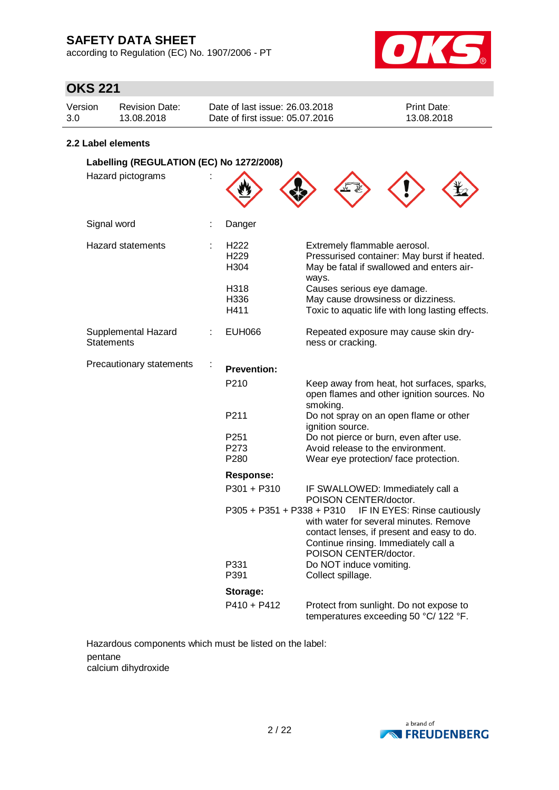according to Regulation (EC) No. 1907/2006 - PT



# **OKS 221**

| Version | <b>Revision Date:</b> | Date of last issue: 26.03.2018  | <b>Print Date:</b> |
|---------|-----------------------|---------------------------------|--------------------|
| 3.0     | 13.08.2018            | Date of first issue: 05.07.2016 | 13.08.2018         |

#### **2.2 Label elements**

| Labelling (REGULATION (EC) No 1272/2008) |   |                                              |                                                                                                                                                                                       |  |  |
|------------------------------------------|---|----------------------------------------------|---------------------------------------------------------------------------------------------------------------------------------------------------------------------------------------|--|--|
| Hazard pictograms                        |   |                                              |                                                                                                                                                                                       |  |  |
| Signal word                              |   | Danger                                       |                                                                                                                                                                                       |  |  |
| <b>Hazard statements</b>                 | ÷ | H <sub>222</sub><br>H <sub>229</sub><br>H304 | Extremely flammable aerosol.<br>Pressurised container: May burst if heated.<br>May be fatal if swallowed and enters air-<br>ways.                                                     |  |  |
|                                          |   | H318<br>H336<br>H411                         | Causes serious eye damage.<br>May cause drowsiness or dizziness.<br>Toxic to aquatic life with long lasting effects.                                                                  |  |  |
| Supplemental Hazard<br><b>Statements</b> |   | <b>EUH066</b>                                | Repeated exposure may cause skin dry-<br>ness or cracking.                                                                                                                            |  |  |
| Precautionary statements                 | ÷ | <b>Prevention:</b>                           |                                                                                                                                                                                       |  |  |
|                                          |   | P <sub>210</sub>                             | Keep away from heat, hot surfaces, sparks,<br>open flames and other ignition sources. No<br>smoking.                                                                                  |  |  |
|                                          |   | P211                                         | Do not spray on an open flame or other<br>ignition source.                                                                                                                            |  |  |
|                                          |   | P251                                         | Do not pierce or burn, even after use.                                                                                                                                                |  |  |
|                                          |   | P273                                         | Avoid release to the environment.                                                                                                                                                     |  |  |
|                                          |   | P280                                         | Wear eye protection/face protection.                                                                                                                                                  |  |  |
|                                          |   | <b>Response:</b>                             |                                                                                                                                                                                       |  |  |
|                                          |   | $P301 + P310$                                | IF SWALLOWED: Immediately call a<br>POISON CENTER/doctor.                                                                                                                             |  |  |
|                                          |   | P305 + P351 + P338 + P310                    | IF IN EYES: Rinse cautiously<br>with water for several minutes. Remove<br>contact lenses, if present and easy to do.<br>Continue rinsing. Immediately call a<br>POISON CENTER/doctor. |  |  |
|                                          |   | P331<br>P391                                 | Do NOT induce vomiting.<br>Collect spillage.                                                                                                                                          |  |  |
|                                          |   | Storage:                                     |                                                                                                                                                                                       |  |  |
|                                          |   | $P410 + P412$                                | Protect from sunlight. Do not expose to<br>temperatures exceeding 50 °C/ 122 °F.                                                                                                      |  |  |

Hazardous components which must be listed on the label: pentane calcium dihydroxide

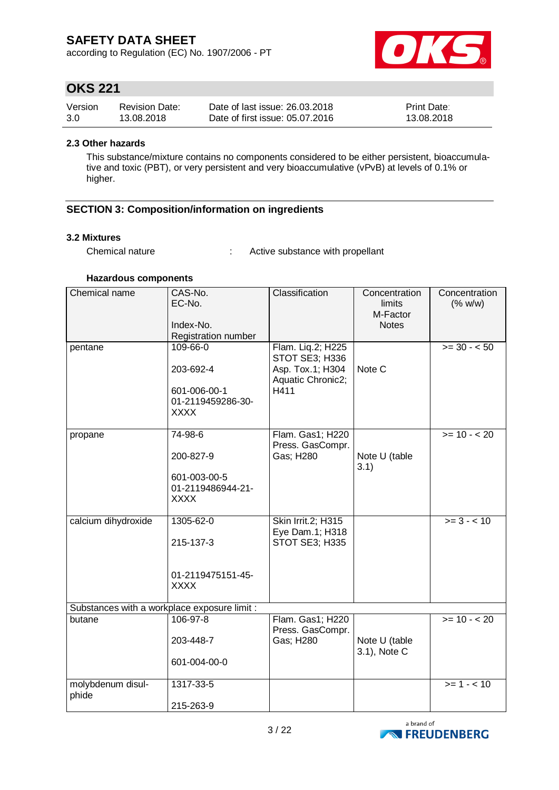according to Regulation (EC) No. 1907/2006 - PT



## **OKS 221**

| Version | <b>Revision Date:</b> | Date of last issue: 26.03.2018  | <b>Print Date:</b> |
|---------|-----------------------|---------------------------------|--------------------|
| 3.0     | 13.08.2018            | Date of first issue: 05.07.2016 | 13.08.2018         |

#### **2.3 Other hazards**

This substance/mixture contains no components considered to be either persistent, bioaccumulative and toxic (PBT), or very persistent and very bioaccumulative (vPvB) at levels of 0.1% or higher.

### **SECTION 3: Composition/information on ingredients**

#### **3.2 Mixtures**

Chemical nature : Active substance with propellant

#### **Hazardous components**

| Chemical name                                | CAS-No.<br>EC-No.<br>Index-No.<br>Registration number                     | Classification                                                                       | Concentration<br>limits<br>M-Factor<br><b>Notes</b> | Concentration<br>(% w/w) |
|----------------------------------------------|---------------------------------------------------------------------------|--------------------------------------------------------------------------------------|-----------------------------------------------------|--------------------------|
| pentane                                      | 109-66-0<br>203-692-4<br>601-006-00-1<br>01-2119459286-30-<br><b>XXXX</b> | Flam. Liq.2; H225<br>STOT SE3; H336<br>Asp. Tox.1; H304<br>Aquatic Chronic2;<br>H411 | Note C                                              | $>= 30 - 50$             |
| propane                                      | 74-98-6<br>200-827-9<br>601-003-00-5<br>01-2119486944-21-<br>XXXX         | Flam. Gas1; H220<br>Press. GasCompr.<br>Gas; H280                                    | Note U (table<br>3.1)                               | $>= 10 - 20$             |
| calcium dihydroxide                          | 1305-62-0<br>215-137-3<br>01-2119475151-45-<br><b>XXXX</b>                | Skin Irrit.2; H315<br>Eye Dam.1; H318<br>STOT SE3; H335                              |                                                     | $>= 3 - 10$              |
| Substances with a workplace exposure limit : |                                                                           |                                                                                      |                                                     |                          |
| butane                                       | 106-97-8<br>203-448-7<br>601-004-00-0                                     | Flam. Gas1; H220<br>Press. GasCompr.<br>Gas; H280                                    | Note U (table<br>3.1), Note C                       | $>= 10 - 20$             |
| molybdenum disul-<br>phide                   | 1317-33-5<br>215-263-9                                                    |                                                                                      |                                                     | $>= 1 - 10$              |

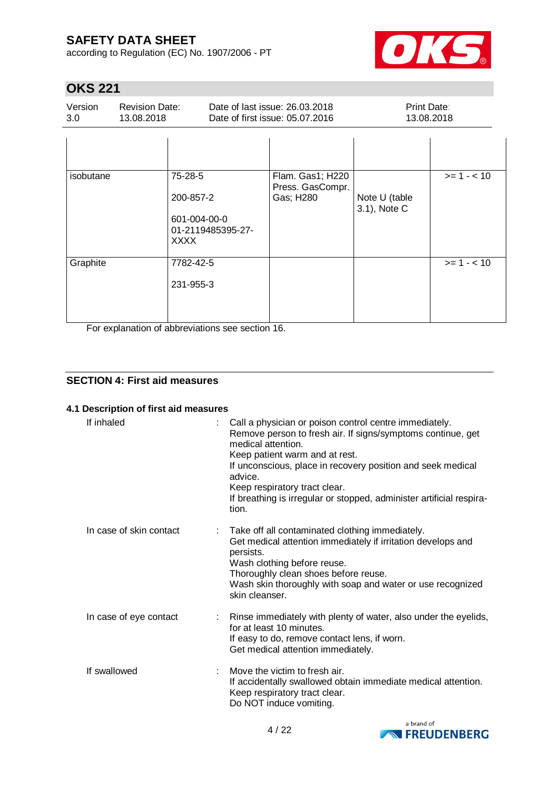according to Regulation (EC) No. 1907/2006 - PT



## **OKS 221**

| Version | <b>Revision Date:</b> | Date of last issue: 26.03.2018  | <b>Print Date:</b> |
|---------|-----------------------|---------------------------------|--------------------|
| 3.0     | 13.08.2018            | Date of first issue: 05.07.2016 | 13.08.2018         |

| isobutane | 75-28-5<br>200-857-2<br>601-004-00-0<br>01-2119485395-27-<br><b>XXXX</b> | Flam. Gas1; H220<br>Press. GasCompr.<br>Gas; H280 | Note U (table<br>3.1), Note C | $>= 1 - 10$ |
|-----------|--------------------------------------------------------------------------|---------------------------------------------------|-------------------------------|-------------|
| Graphite  | 7782-42-5<br>231-955-3                                                   |                                                   |                               | $>= 1 - 10$ |

For explanation of abbreviations see section 16.

### **SECTION 4: First aid measures**

### **4.1 Description of first aid measures**

| If inhaled              | Call a physician or poison control centre immediately.<br>Remove person to fresh air. If signs/symptoms continue, get<br>medical attention.<br>Keep patient warm and at rest.<br>If unconscious, place in recovery position and seek medical<br>advice.<br>Keep respiratory tract clear.<br>If breathing is irregular or stopped, administer artificial respira-<br>tion. |  |
|-------------------------|---------------------------------------------------------------------------------------------------------------------------------------------------------------------------------------------------------------------------------------------------------------------------------------------------------------------------------------------------------------------------|--|
| In case of skin contact | Take off all contaminated clothing immediately.<br>Get medical attention immediately if irritation develops and<br>persists.<br>Wash clothing before reuse.<br>Thoroughly clean shoes before reuse.<br>Wash skin thoroughly with soap and water or use recognized<br>skin cleanser.                                                                                       |  |
| In case of eye contact  | Rinse immediately with plenty of water, also under the eyelids,<br>for at least 10 minutes.<br>If easy to do, remove contact lens, if worn.<br>Get medical attention immediately.                                                                                                                                                                                         |  |
| If swallowed            | Move the victim to fresh air.<br>÷<br>If accidentally swallowed obtain immediate medical attention.<br>Keep respiratory tract clear.<br>Do NOT induce vomiting.                                                                                                                                                                                                           |  |

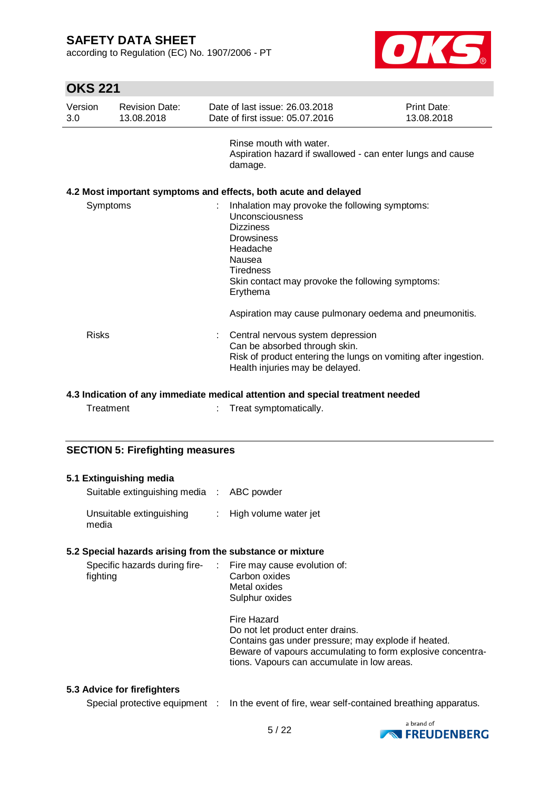according to Regulation (EC) No. 1907/2006 - PT



# **OKS 221**

| Version<br>3.0 | <b>Revision Date:</b><br>13.08.2018 |                                                                                                   | Date of last issue: 26,03,2018<br>Date of first issue: 05.07.2016                                                                                                        | Print Date:<br>13.08.2018 |
|----------------|-------------------------------------|---------------------------------------------------------------------------------------------------|--------------------------------------------------------------------------------------------------------------------------------------------------------------------------|---------------------------|
|                |                                     | damage.                                                                                           | Rinse mouth with water.<br>Aspiration hazard if swallowed - can enter lungs and cause                                                                                    |                           |
|                |                                     |                                                                                                   | 4.2 Most important symptoms and effects, both acute and delayed                                                                                                          |                           |
| Symptoms       |                                     | ÷.<br><b>Dizziness</b><br><b>Drowsiness</b><br>Headache<br>Nausea<br><b>Tiredness</b><br>Erythema | Inhalation may provoke the following symptoms:<br><b>Unconsciousness</b><br>Skin contact may provoke the following symptoms:                                             |                           |
|                |                                     |                                                                                                   | Aspiration may cause pulmonary oedema and pneumonitis.                                                                                                                   |                           |
| Risks          |                                     |                                                                                                   | Central nervous system depression<br>Can be absorbed through skin.<br>Risk of product entering the lungs on vomiting after ingestion.<br>Health injuries may be delayed. |                           |

#### **4.3 Indication of any immediate medical attention and special treatment needed**

Treatment : Treat symptomatically.

#### **SECTION 5: Firefighting measures**

| 5.1 Extinguishing media<br>Suitable extinguishing media : ABC powder     |                                                                                                                                                                                                                      |
|--------------------------------------------------------------------------|----------------------------------------------------------------------------------------------------------------------------------------------------------------------------------------------------------------------|
| Unsuitable extinguishing<br>media                                        | : High volume water jet                                                                                                                                                                                              |
| 5.2 Special hazards arising from the substance or mixture                |                                                                                                                                                                                                                      |
| Specific hazards during fire- : Fire may cause evolution of:<br>fighting | Carbon oxides<br>Metal oxides<br>Sulphur oxides                                                                                                                                                                      |
|                                                                          | Fire Hazard<br>Do not let product enter drains.<br>Contains gas under pressure; may explode if heated.<br>Beware of vapours accumulating to form explosive concentra-<br>tions. Vapours can accumulate in low areas. |

#### **5.3 Advice for firefighters**

Special protective equipment : In the event of fire, wear self-contained breathing apparatus.

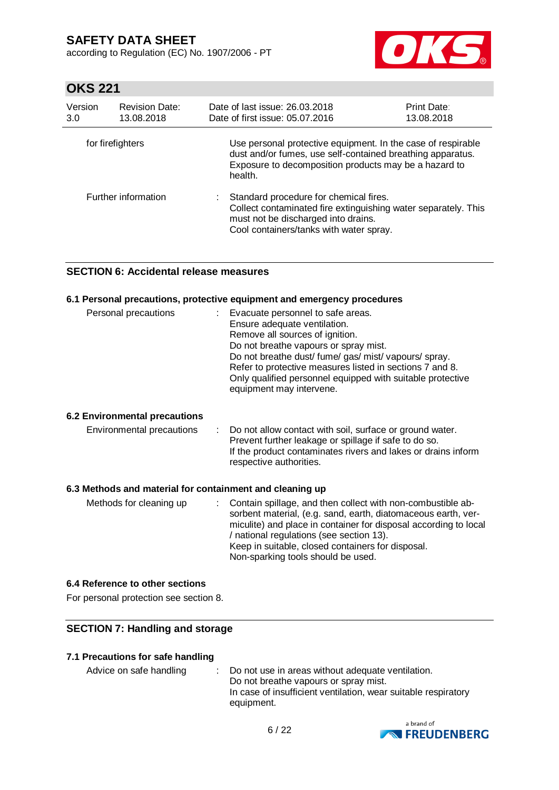according to Regulation (EC) No. 1907/2006 - PT



## **OKS 221**

| Version<br>3.0   | <b>Revision Date:</b><br>13.08.2018 | Date of last issue: 26.03.2018<br>Date of first issue: 05.07.2016                                                                                                                                | <b>Print Date:</b><br>13.08.2018 |
|------------------|-------------------------------------|--------------------------------------------------------------------------------------------------------------------------------------------------------------------------------------------------|----------------------------------|
| for firefighters |                                     | Use personal protective equipment. In the case of respirable<br>dust and/or fumes, use self-contained breathing apparatus.<br>Exposure to decomposition products may be a hazard to<br>health.   |                                  |
|                  | Further information                 | Standard procedure for chemical fires.<br>÷.<br>Collect contaminated fire extinguishing water separately. This<br>must not be discharged into drains.<br>Cool containers/tanks with water spray. |                                  |

### **SECTION 6: Accidental release measures**

#### **6.1 Personal precautions, protective equipment and emergency procedures**

| Personal precautions | Evacuate personnel to safe areas.<br>Ensure adequate ventilation.<br>Remove all sources of ignition.<br>Do not breathe vapours or spray mist.<br>Do not breathe dust/ fume/ gas/ mist/ vapours/ spray.<br>Refer to protective measures listed in sections 7 and 8.<br>Only qualified personnel equipped with suitable protective |
|----------------------|----------------------------------------------------------------------------------------------------------------------------------------------------------------------------------------------------------------------------------------------------------------------------------------------------------------------------------|
|                      | equipment may intervene.                                                                                                                                                                                                                                                                                                         |

#### **6.2 Environmental precautions**

| Environmental precautions | : Do not allow contact with soil, surface or ground water.    |
|---------------------------|---------------------------------------------------------------|
|                           | Prevent further leakage or spillage if safe to do so.         |
|                           | If the product contaminates rivers and lakes or drains inform |
|                           | respective authorities.                                       |

#### **6.3 Methods and material for containment and cleaning up**

| Methods for cleaning up | : Contain spillage, and then collect with non-combustible ab-<br>sorbent material, (e.g. sand, earth, diatomaceous earth, ver-<br>miculite) and place in container for disposal according to local<br>/ national regulations (see section 13).<br>Keep in suitable, closed containers for disposal.<br>Non-sparking tools should be used. |
|-------------------------|-------------------------------------------------------------------------------------------------------------------------------------------------------------------------------------------------------------------------------------------------------------------------------------------------------------------------------------------|
|-------------------------|-------------------------------------------------------------------------------------------------------------------------------------------------------------------------------------------------------------------------------------------------------------------------------------------------------------------------------------------|

#### **6.4 Reference to other sections**

For personal protection see section 8.

### **SECTION 7: Handling and storage**

#### **7.1 Precautions for safe handling**

Advice on safe handling : Do not use in areas without adequate ventilation. Do not breathe vapours or spray mist. In case of insufficient ventilation, wear suitable respiratory equipment.

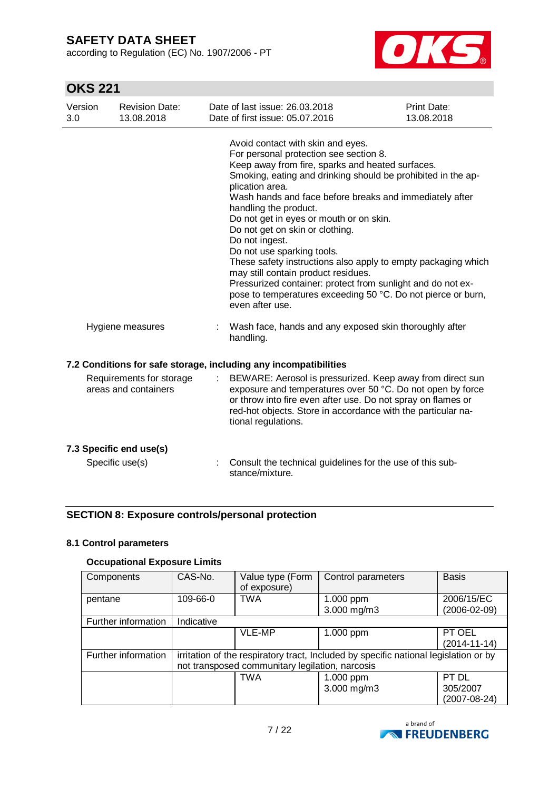according to Regulation (EC) No. 1907/2006 - PT



# **OKS 221**

| Version<br>3.0 | <b>Revision Date:</b><br>13.08.2018              | Date of last issue: 26.03.2018<br>Date of first issue: 05.07.2016                                                                                                                                                                                                                                                                                                                                                                                                                                                                                                                                                                                                                              | <b>Print Date:</b><br>13.08.2018 |
|----------------|--------------------------------------------------|------------------------------------------------------------------------------------------------------------------------------------------------------------------------------------------------------------------------------------------------------------------------------------------------------------------------------------------------------------------------------------------------------------------------------------------------------------------------------------------------------------------------------------------------------------------------------------------------------------------------------------------------------------------------------------------------|----------------------------------|
|                |                                                  | Avoid contact with skin and eyes.<br>For personal protection see section 8.<br>Keep away from fire, sparks and heated surfaces.<br>Smoking, eating and drinking should be prohibited in the ap-<br>plication area.<br>Wash hands and face before breaks and immediately after<br>handling the product.<br>Do not get in eyes or mouth or on skin.<br>Do not get on skin or clothing.<br>Do not ingest.<br>Do not use sparking tools.<br>These safety instructions also apply to empty packaging which<br>may still contain product residues.<br>Pressurized container: protect from sunlight and do not ex-<br>pose to temperatures exceeding 50 °C. Do not pierce or burn,<br>even after use. |                                  |
|                | Hygiene measures                                 | Wash face, hands and any exposed skin thoroughly after<br>handling.                                                                                                                                                                                                                                                                                                                                                                                                                                                                                                                                                                                                                            |                                  |
|                |                                                  | 7.2 Conditions for safe storage, including any incompatibilities                                                                                                                                                                                                                                                                                                                                                                                                                                                                                                                                                                                                                               |                                  |
|                | Requirements for storage<br>areas and containers | BEWARE: Aerosol is pressurized. Keep away from direct sun<br>exposure and temperatures over 50 °C. Do not open by force<br>or throw into fire even after use. Do not spray on flames or<br>red-hot objects. Store in accordance with the particular na-<br>tional regulations.                                                                                                                                                                                                                                                                                                                                                                                                                 |                                  |
|                | 7.3 Specific end use(s)<br>Specific use(s)       | Consult the technical guidelines for the use of this sub-                                                                                                                                                                                                                                                                                                                                                                                                                                                                                                                                                                                                                                      |                                  |
|                |                                                  | stance/mixture.                                                                                                                                                                                                                                                                                                                                                                                                                                                                                                                                                                                                                                                                                |                                  |

### **SECTION 8: Exposure controls/personal protection**

### **8.1 Control parameters**

### **Occupational Exposure Limits**

| Components          | CAS-No.    | Value type (Form<br>of exposure)                | Control parameters                                                                   | <b>Basis</b>       |
|---------------------|------------|-------------------------------------------------|--------------------------------------------------------------------------------------|--------------------|
| pentane             | 109-66-0   | TWA                                             | $1.000$ ppm                                                                          | 2006/15/EC         |
|                     |            |                                                 | 3.000 mg/m3                                                                          | $(2006 - 02 - 09)$ |
| Further information | Indicative |                                                 |                                                                                      |                    |
|                     |            | VLE-MP                                          | 1.000 ppm                                                                            | PT OEL             |
|                     |            |                                                 |                                                                                      | $(2014 - 11 - 14)$ |
| Further information |            |                                                 | irritation of the respiratory tract, Included by specific national legislation or by |                    |
|                     |            | not transposed communitary legilation, narcosis |                                                                                      |                    |
|                     |            | <b>TWA</b>                                      | 1.000 ppm                                                                            | PT DL              |
|                     |            |                                                 | 3.000 mg/m3                                                                          | 305/2007           |
|                     |            |                                                 |                                                                                      | $(2007 - 08 - 24)$ |

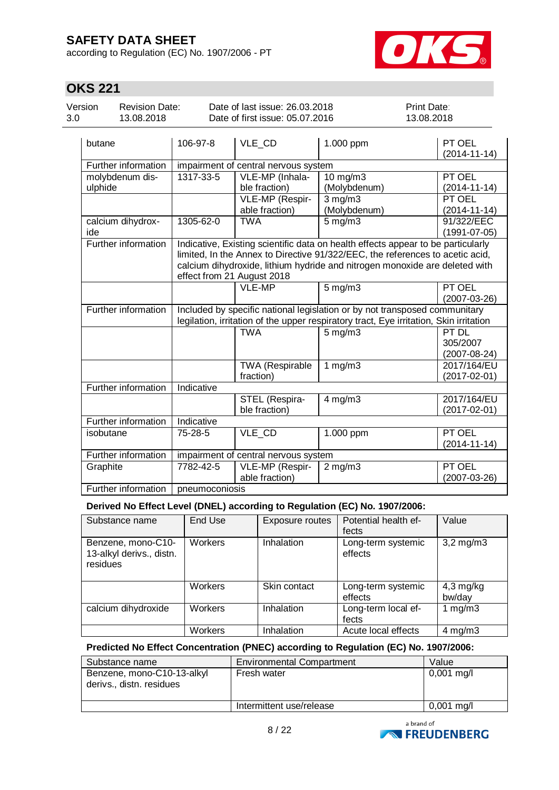according to Regulation (EC) No. 1907/2006 - PT



## **OKS 221**

| Version | Revision Date: | Date of last issue: 26.03.2018  | <b>Print Date:</b> |
|---------|----------------|---------------------------------|--------------------|
| 3.0     | 13.08.2018     | Date of first issue: 05.07.2016 | 13.08.2018         |

| butane                     | 106-97-8       | VLE CD                               | 1.000 ppm                                                                                                                                                                                                                                        | PT OEL<br>$(2014 - 11 - 14)$            |
|----------------------------|----------------|--------------------------------------|--------------------------------------------------------------------------------------------------------------------------------------------------------------------------------------------------------------------------------------------------|-----------------------------------------|
| Further information        |                | impairment of central nervous system |                                                                                                                                                                                                                                                  |                                         |
| molybdenum dis-<br>ulphide | 1317-33-5      | VLE-MP (Inhala-<br>ble fraction)     | 10 mg/m3<br>(Molybdenum)                                                                                                                                                                                                                         | PT OEL<br>$(2014 - 11 - 14)$            |
|                            |                | VLE-MP (Respir-<br>able fraction)    | $3$ mg/m $3$<br>(Molybdenum)                                                                                                                                                                                                                     | PT OEL<br>$(2014 - 11 - 14)$            |
| calcium dihydrox-<br>ide   | 1305-62-0      | <b>TWA</b>                           | $5$ mg/m $3$                                                                                                                                                                                                                                     | 91/322/EEC<br>$(1991 - 07 - 05)$        |
| Further information        |                | effect from 21 August 2018           | Indicative, Existing scientific data on health effects appear to be particularly<br>limited, In the Annex to Directive 91/322/EEC, the references to acetic acid,<br>calcium dihydroxide, lithium hydride and nitrogen monoxide are deleted with |                                         |
|                            |                | VLE-MP                               | $5$ mg/m $3$                                                                                                                                                                                                                                     | PT OEL<br>$(2007-03-26)$                |
| Further information        |                |                                      | Included by specific national legislation or by not transposed communitary<br>legilation, irritation of the upper respiratory tract, Eye irritation, Skin irritation                                                                             |                                         |
|                            |                | <b>TWA</b>                           | $5$ mg/m $3$                                                                                                                                                                                                                                     | PT DL<br>305/2007<br>$(2007 - 08 - 24)$ |
|                            |                | TWA (Respirable<br>fraction)         | 1 $mg/m3$                                                                                                                                                                                                                                        | 2017/164/EU<br>$(2017 - 02 - 01)$       |
| Further information        | Indicative     |                                      |                                                                                                                                                                                                                                                  |                                         |
|                            |                | STEL (Respira-<br>ble fraction)      | $4$ mg/m $3$                                                                                                                                                                                                                                     | 2017/164/EU<br>$(2017 - 02 - 01)$       |
| Further information        | Indicative     |                                      |                                                                                                                                                                                                                                                  |                                         |
| isobutane                  | 75-28-5        | VLE_CD                               | 1.000 ppm                                                                                                                                                                                                                                        | PT OEL<br>$(2014 - 11 - 14)$            |
| Further information        |                | impairment of central nervous system |                                                                                                                                                                                                                                                  |                                         |
| Graphite                   | 7782-42-5      | VLE-MP (Respir-<br>able fraction)    | $2$ mg/m $3$                                                                                                                                                                                                                                     | PT OEL<br>$(2007 - 03 - 26)$            |
| Further information        | pneumoconiosis |                                      |                                                                                                                                                                                                                                                  |                                         |

### **Derived No Effect Level (DNEL) according to Regulation (EC) No. 1907/2006:**

| Substance name                                             | End Use        | Exposure routes | Potential health ef-<br>fects | Value                 |
|------------------------------------------------------------|----------------|-----------------|-------------------------------|-----------------------|
| Benzene, mono-C10-<br>13-alkyl derivs., distn.<br>residues | <b>Workers</b> | Inhalation      | Long-term systemic<br>effects | $3,2$ mg/m $3$        |
|                                                            | <b>Workers</b> | Skin contact    | Long-term systemic<br>effects | $4,3$ mg/kg<br>bw/day |
| calcium dihydroxide                                        | <b>Workers</b> | Inhalation      | Long-term local ef-<br>fects  | 1 $mg/m3$             |
|                                                            | Workers        | Inhalation      | Acute local effects           | $4$ mg/m $3$          |

# **Predicted No Effect Concentration (PNEC) according to Regulation (EC) No. 1907/2006:**

| Substance name                                         | <b>Environmental Compartment</b> | Value                |
|--------------------------------------------------------|----------------------------------|----------------------|
| Benzene, mono-C10-13-alkyl<br>derivs., distn. residues | Fresh water                      | $0,001$ mg/l         |
|                                                        | Intermittent use/release         | $0,001 \text{ mg/l}$ |

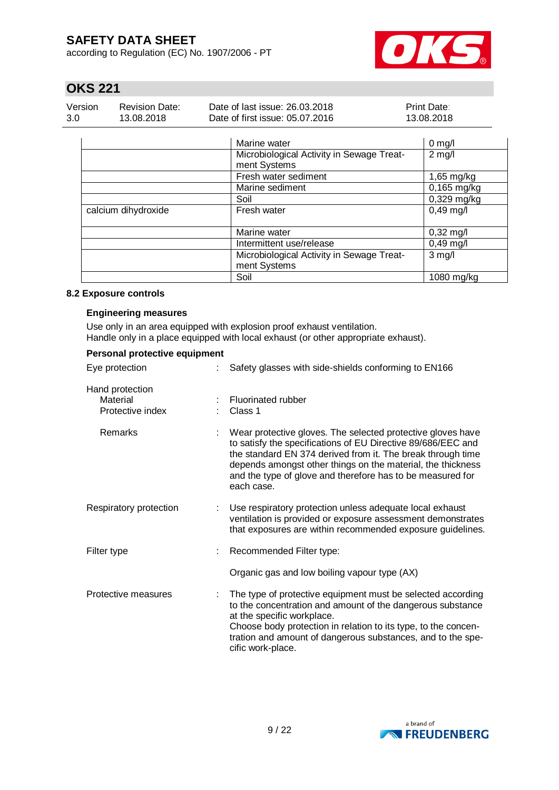according to Regulation (EC) No. 1907/2006 - PT



## **OKS 221**

| Version | Revision Date: | Date of last issue: 26.03.2018  | Print Date: |
|---------|----------------|---------------------------------|-------------|
| 3.0     | 13.08.2018     | Date of first issue: 05.07.2016 | 13.08.2018  |

|                     | Marine water                                              | $0$ mg/l            |
|---------------------|-----------------------------------------------------------|---------------------|
|                     | Microbiological Activity in Sewage Treat-<br>ment Systems | $2$ mg/l            |
|                     | Fresh water sediment                                      | $1,65$ mg/kg        |
|                     | Marine sediment                                           | $0,165$ mg/kg       |
|                     | Soil                                                      | 0,329 mg/kg         |
| calcium dihydroxide | Fresh water                                               | $0,49$ mg/l         |
|                     | Marine water                                              | $0,32 \text{ mg/l}$ |
|                     | Intermittent use/release                                  | $0,49$ mg/l         |
|                     | Microbiological Activity in Sewage Treat-<br>ment Systems | $3$ mg/l            |
|                     | Soil                                                      | 1080 mg/kg          |

#### **8.2 Exposure controls**

#### **Engineering measures**

Use only in an area equipped with explosion proof exhaust ventilation. Handle only in a place equipped with local exhaust (or other appropriate exhaust).

| Personal protective equipment                   |  |                                                                                                                                                                                                                                                                                                                                       |  |  |
|-------------------------------------------------|--|---------------------------------------------------------------------------------------------------------------------------------------------------------------------------------------------------------------------------------------------------------------------------------------------------------------------------------------|--|--|
| Eye protection                                  |  | Safety glasses with side-shields conforming to EN166                                                                                                                                                                                                                                                                                  |  |  |
| Hand protection<br>Material<br>Protective index |  | Fluorinated rubber<br>Class 1                                                                                                                                                                                                                                                                                                         |  |  |
| Remarks                                         |  | Wear protective gloves. The selected protective gloves have<br>to satisfy the specifications of EU Directive 89/686/EEC and<br>the standard EN 374 derived from it. The break through time<br>depends amongst other things on the material, the thickness<br>and the type of glove and therefore has to be measured for<br>each case. |  |  |
| Respiratory protection                          |  | Use respiratory protection unless adequate local exhaust<br>ventilation is provided or exposure assessment demonstrates<br>that exposures are within recommended exposure guidelines.                                                                                                                                                 |  |  |
| Filter type                                     |  | Recommended Filter type:                                                                                                                                                                                                                                                                                                              |  |  |
|                                                 |  | Organic gas and low boiling vapour type (AX)                                                                                                                                                                                                                                                                                          |  |  |
| Protective measures                             |  | The type of protective equipment must be selected according<br>to the concentration and amount of the dangerous substance<br>at the specific workplace.<br>Choose body protection in relation to its type, to the concen-<br>tration and amount of dangerous substances, and to the spe-<br>cific work-place.                         |  |  |

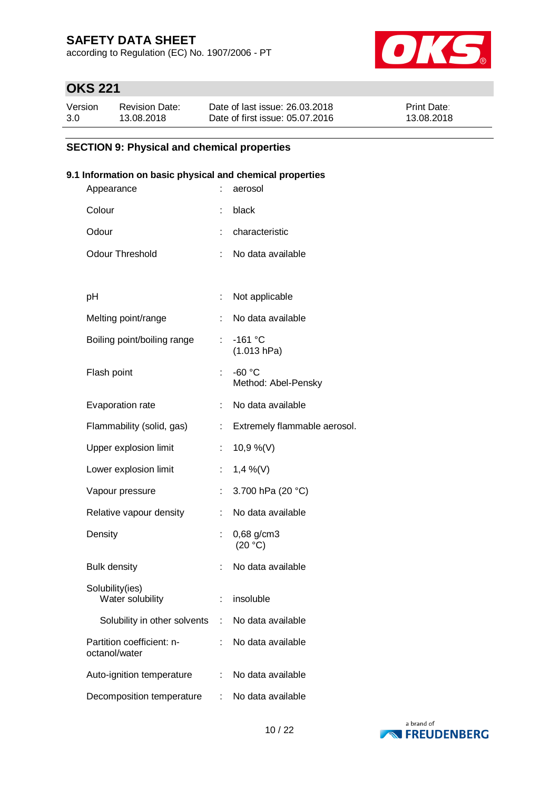according to Regulation (EC) No. 1907/2006 - PT



## **OKS 221**

| Version | <b>Revision Date:</b> | Date of last issue: 26.03.2018  | <b>Print Date:</b> |
|---------|-----------------------|---------------------------------|--------------------|
| 3.0     | 13.08.2018            | Date of first issue: 05.07.2016 | 13.08.2018         |

### **SECTION 9: Physical and chemical properties**

### **9.1 Information on basic physical and chemical properties**

| Appearance                                 |    | aerosol                         |
|--------------------------------------------|----|---------------------------------|
| Colour                                     | ÷  | black                           |
| Odour                                      |    | characteristic                  |
| <b>Odour Threshold</b>                     |    | No data available               |
|                                            |    |                                 |
| рH                                         | t. | Not applicable                  |
| Melting point/range                        |    | No data available               |
| Boiling point/boiling range                | t. | $-161 °C$<br>(1.013 hPa)        |
| Flash point                                |    | $-60 °C$<br>Method: Abel-Pensky |
| Evaporation rate                           |    | No data available               |
| Flammability (solid, gas)                  | ÷. | Extremely flammable aerosol.    |
| Upper explosion limit                      |    | 10,9 %(V)                       |
| Lower explosion limit                      | t. | $1,4\%$ (V)                     |
| Vapour pressure                            | t. | 3.700 hPa (20 °C)               |
| Relative vapour density                    |    | No data available               |
| Density                                    |    | 0,68 g/cm3<br>(20 °C)           |
| <b>Bulk density</b>                        |    | No data available               |
| Solubility(ies)<br>Water solubility        | t. | insoluble                       |
| Solubility in other solvents               | t. | No data available               |
| Partition coefficient: n-<br>octanol/water |    | No data available               |
| Auto-ignition temperature                  |    | No data available               |
| Decomposition temperature                  |    | No data available               |

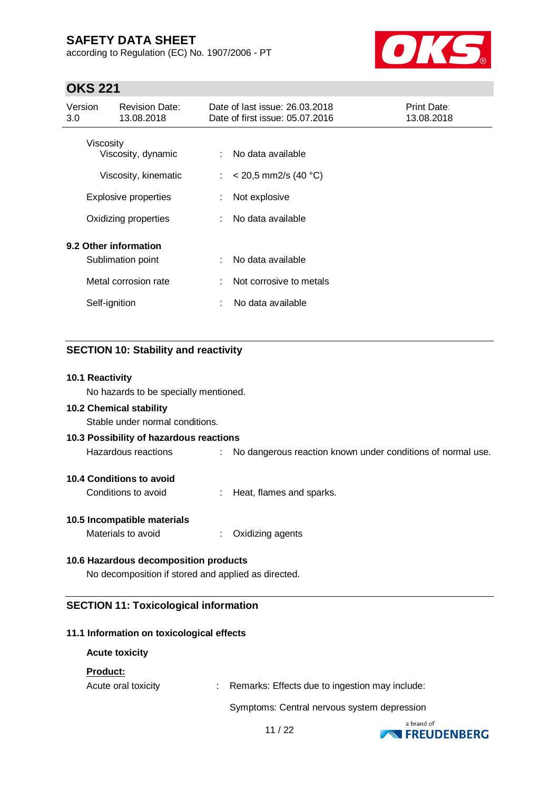according to Regulation (EC) No. 1907/2006 - PT



## **OKS 221**

| Version<br>3.0 | <b>Revision Date:</b><br>13.08.2018 |    | Date of last issue: 26.03.2018<br>Date of first issue: 05.07.2016 | Print Date:<br>13.08.2018 |
|----------------|-------------------------------------|----|-------------------------------------------------------------------|---------------------------|
|                | Viscosity<br>Viscosity, dynamic     |    | No data available                                                 |                           |
|                | Viscosity, kinematic                | ÷. | $<$ 20,5 mm2/s (40 °C)                                            |                           |
|                | <b>Explosive properties</b>         | ÷  | Not explosive                                                     |                           |
|                | Oxidizing properties                |    | No data available                                                 |                           |
|                | 9.2 Other information               |    |                                                                   |                           |
|                | Sublimation point                   |    | No data available                                                 |                           |
|                | Metal corrosion rate                | ÷  | Not corrosive to metals                                           |                           |
|                | Self-ignition                       | ÷  | No data available                                                 |                           |
|                |                                     |    |                                                                   |                           |

### **SECTION 10: Stability and reactivity**

#### **10.1 Reactivity**

No hazards to be specially mentioned.

#### **10.2 Chemical stability**

Stable under normal conditions.

| 10.3 Possibility of hazardous reactions |  |                                                               |  |  |  |
|-----------------------------------------|--|---------------------------------------------------------------|--|--|--|
| Hazardous reactions                     |  | : No dangerous reaction known under conditions of normal use. |  |  |  |
| 10.4 Conditions to avoid                |  |                                                               |  |  |  |

Conditions to avoid : Heat, flames and sparks.

# **10.5 Incompatible materials**

Materials to avoid : Oxidizing agents

### **10.6 Hazardous decomposition products**

No decomposition if stored and applied as directed.

#### **SECTION 11: Toxicological information**

#### **11.1 Information on toxicological effects**

#### **Acute toxicity**

#### **Product:**

Acute oral toxicity : Remarks: Effects due to ingestion may include:

Symptoms: Central nervous system depression

11 / 22

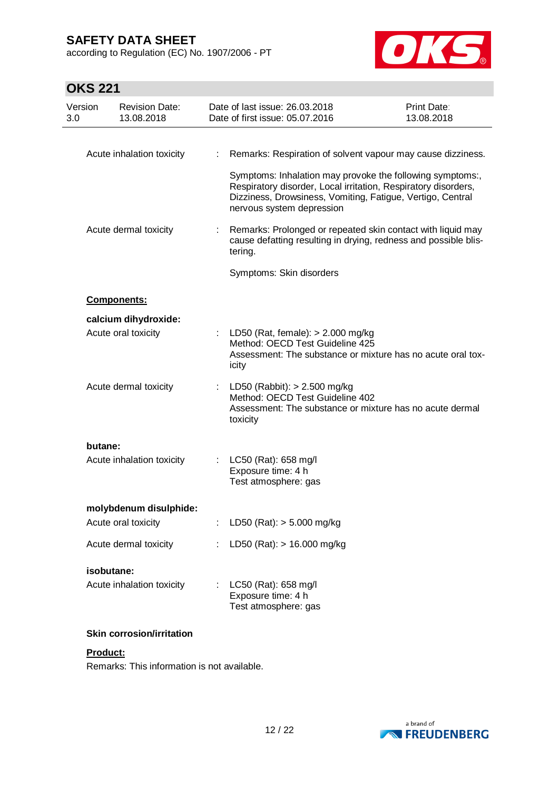according to Regulation (EC) No. 1907/2006 - PT



# **OKS 221**

| Version<br>3.0 | <b>Revision Date:</b><br>13.08.2018 |                                                                                                                                                | Date of last issue: 26.03.2018<br>Date of first issue: 05.07.2016                                                                                                                                                      | <b>Print Date:</b><br>13.08.2018 |
|----------------|-------------------------------------|------------------------------------------------------------------------------------------------------------------------------------------------|------------------------------------------------------------------------------------------------------------------------------------------------------------------------------------------------------------------------|----------------------------------|
|                |                                     |                                                                                                                                                |                                                                                                                                                                                                                        |                                  |
|                | Acute inhalation toxicity           | ÷                                                                                                                                              | Remarks: Respiration of solvent vapour may cause dizziness.                                                                                                                                                            |                                  |
|                |                                     |                                                                                                                                                | Symptoms: Inhalation may provoke the following symptoms:,<br>Respiratory disorder, Local irritation, Respiratory disorders,<br>Dizziness, Drowsiness, Vomiting, Fatigue, Vertigo, Central<br>nervous system depression |                                  |
|                | Acute dermal toxicity               |                                                                                                                                                | Remarks: Prolonged or repeated skin contact with liquid may<br>cause defatting resulting in drying, redness and possible blis-<br>tering.                                                                              |                                  |
|                |                                     |                                                                                                                                                | Symptoms: Skin disorders                                                                                                                                                                                               |                                  |
|                | <b>Components:</b>                  |                                                                                                                                                |                                                                                                                                                                                                                        |                                  |
|                | calcium dihydroxide:                |                                                                                                                                                |                                                                                                                                                                                                                        |                                  |
|                | Acute oral toxicity                 |                                                                                                                                                | : LD50 (Rat, female): $> 2.000$ mg/kg<br>Method: OECD Test Guideline 425<br>Assessment: The substance or mixture has no acute oral tox-<br>icity                                                                       |                                  |
|                | Acute dermal toxicity               | LD50 (Rabbit): $> 2.500$ mg/kg<br>÷<br>Method: OECD Test Guideline 402<br>Assessment: The substance or mixture has no acute dermal<br>toxicity |                                                                                                                                                                                                                        |                                  |
| butane:        |                                     |                                                                                                                                                |                                                                                                                                                                                                                        |                                  |
|                | Acute inhalation toxicity           | ÷                                                                                                                                              | LC50 (Rat): 658 mg/l<br>Exposure time: 4 h<br>Test atmosphere: gas                                                                                                                                                     |                                  |
|                | molybdenum disulphide:              |                                                                                                                                                |                                                                                                                                                                                                                        |                                  |
|                | Acute oral toxicity                 |                                                                                                                                                | LD50 (Rat): $> 5.000$ mg/kg                                                                                                                                                                                            |                                  |
|                | Acute dermal toxicity               | ÷.                                                                                                                                             | LD50 (Rat): $> 16.000$ mg/kg                                                                                                                                                                                           |                                  |
|                | isobutane:                          |                                                                                                                                                |                                                                                                                                                                                                                        |                                  |
|                | Acute inhalation toxicity           |                                                                                                                                                | LC50 (Rat): 658 mg/l<br>Exposure time: 4 h<br>Test atmosphere: gas                                                                                                                                                     |                                  |
|                | <b>Skin corrosion/irritation</b>    |                                                                                                                                                |                                                                                                                                                                                                                        |                                  |

#### **Product:**

Remarks: This information is not available.

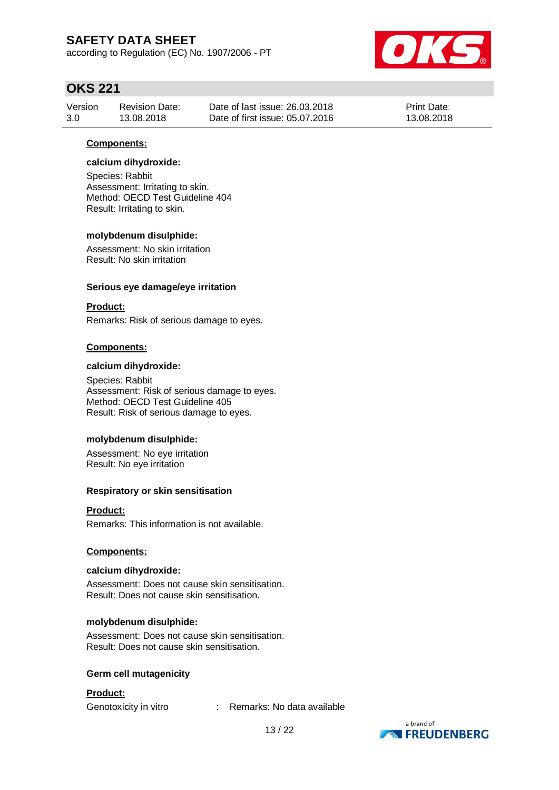according to Regulation (EC) No. 1907/2006 - PT



## **OKS 221**

| Version | Revision Date: | Date of last issue: 26.03.2018  | <b>Print Date:</b> |
|---------|----------------|---------------------------------|--------------------|
| 3.0     | 13.08.2018     | Date of first issue: 05.07.2016 | 13.08.2018         |

#### **Components:**

#### **calcium dihydroxide:**

Species: Rabbit Assessment: Irritating to skin. Method: OECD Test Guideline 404 Result: Irritating to skin.

#### **molybdenum disulphide:**

Assessment: No skin irritation Result: No skin irritation

#### **Serious eye damage/eye irritation**

#### **Product:**

Remarks: Risk of serious damage to eyes.

#### **Components:**

#### **calcium dihydroxide:**

Species: Rabbit Assessment: Risk of serious damage to eyes. Method: OECD Test Guideline 405 Result: Risk of serious damage to eyes.

#### **molybdenum disulphide:**

Assessment: No eye irritation Result: No eye irritation

#### **Respiratory or skin sensitisation**

#### **Product:**

Remarks: This information is not available.

#### **Components:**

#### **calcium dihydroxide:**

Assessment: Does not cause skin sensitisation. Result: Does not cause skin sensitisation.

### **molybdenum disulphide:**

Assessment: Does not cause skin sensitisation. Result: Does not cause skin sensitisation.

#### **Germ cell mutagenicity**

#### **Product:**

Genotoxicity in vitro : Remarks: No data available

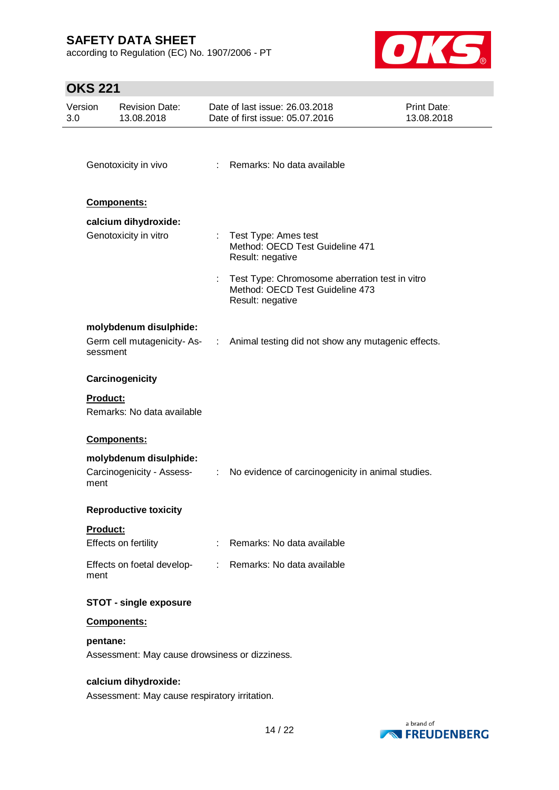according to Regulation (EC) No. 1907/2006 - PT



# **OKS 221**

| Version<br>3.0 | <b>Revision Date:</b><br>13.08.2018                                   |                | Date of last issue: 26.03.2018<br>Date of first issue: 05.07.2016                                     | <b>Print Date:</b><br>13.08.2018 |
|----------------|-----------------------------------------------------------------------|----------------|-------------------------------------------------------------------------------------------------------|----------------------------------|
|                | Genotoxicity in vivo                                                  |                | : Remarks: No data available                                                                          |                                  |
|                | Components:                                                           |                |                                                                                                       |                                  |
|                | calcium dihydroxide:<br>Genotoxicity in vitro                         |                | : Test Type: Ames test<br>Method: OECD Test Guideline 471<br>Result: negative                         |                                  |
|                |                                                                       |                | Test Type: Chromosome aberration test in vitro<br>Method: OECD Test Guideline 473<br>Result: negative |                                  |
|                | molybdenum disulphide:                                                |                |                                                                                                       |                                  |
| sessment       | Germ cell mutagenicity-As- :                                          |                | Animal testing did not show any mutagenic effects.                                                    |                                  |
|                | Carcinogenicity                                                       |                |                                                                                                       |                                  |
| Product:       | Remarks: No data available                                            |                |                                                                                                       |                                  |
|                | Components:                                                           |                |                                                                                                       |                                  |
| ment           | molybdenum disulphide:<br>Carcinogenicity - Assess-                   | $\mathbb{Z}^n$ | No evidence of carcinogenicity in animal studies.                                                     |                                  |
|                | <b>Reproductive toxicity</b>                                          |                |                                                                                                       |                                  |
| Product:       | Effects on fertility                                                  |                | : Remarks: No data available                                                                          |                                  |
| ment           | Effects on foetal develop-                                            |                | : Remarks: No data available                                                                          |                                  |
|                | <b>STOT - single exposure</b>                                         |                |                                                                                                       |                                  |
|                | Components:                                                           |                |                                                                                                       |                                  |
| pentane:       | Assessment: May cause drowsiness or dizziness.                        |                |                                                                                                       |                                  |
|                | calcium dihydroxide:<br>Assessment: May cause respiratory irritation. |                |                                                                                                       |                                  |

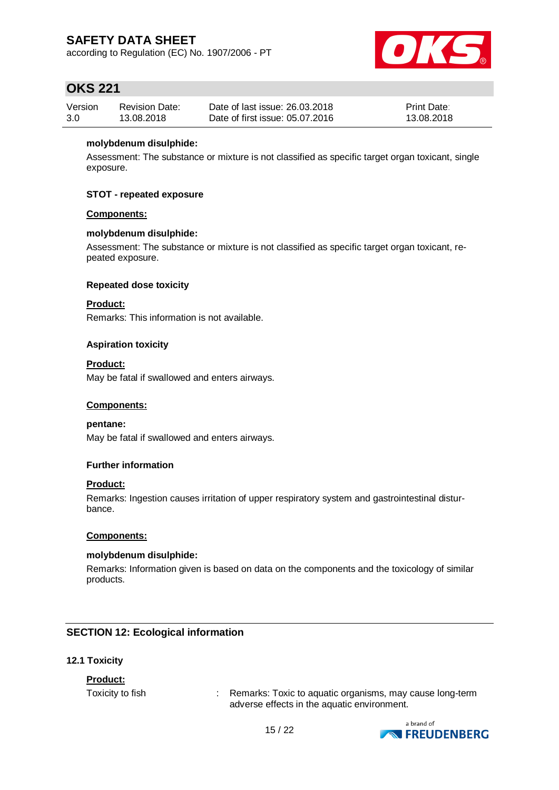according to Regulation (EC) No. 1907/2006 - PT



## **OKS 221**

| Version | <b>Revision Date:</b> | Date of last issue: 26.03.2018  | <b>Print Date:</b> |
|---------|-----------------------|---------------------------------|--------------------|
| 3.0     | 13.08.2018            | Date of first issue: 05.07.2016 | 13.08.2018         |

#### **molybdenum disulphide:**

Assessment: The substance or mixture is not classified as specific target organ toxicant, single exposure.

#### **STOT - repeated exposure**

#### **Components:**

#### **molybdenum disulphide:**

Assessment: The substance or mixture is not classified as specific target organ toxicant, repeated exposure.

#### **Repeated dose toxicity**

### **Product:**

Remarks: This information is not available.

#### **Aspiration toxicity**

#### **Product:**

May be fatal if swallowed and enters airways.

#### **Components:**

**pentane:**

May be fatal if swallowed and enters airways.

#### **Further information**

#### **Product:**

Remarks: Ingestion causes irritation of upper respiratory system and gastrointestinal disturbance.

#### **Components:**

#### **molybdenum disulphide:**

Remarks: Information given is based on data on the components and the toxicology of similar products.

#### **SECTION 12: Ecological information**

#### **12.1 Toxicity**

#### **Product:**

Toxicity to fish **:** Remarks: Toxic to aquatic organisms, may cause long-term adverse effects in the aquatic environment.

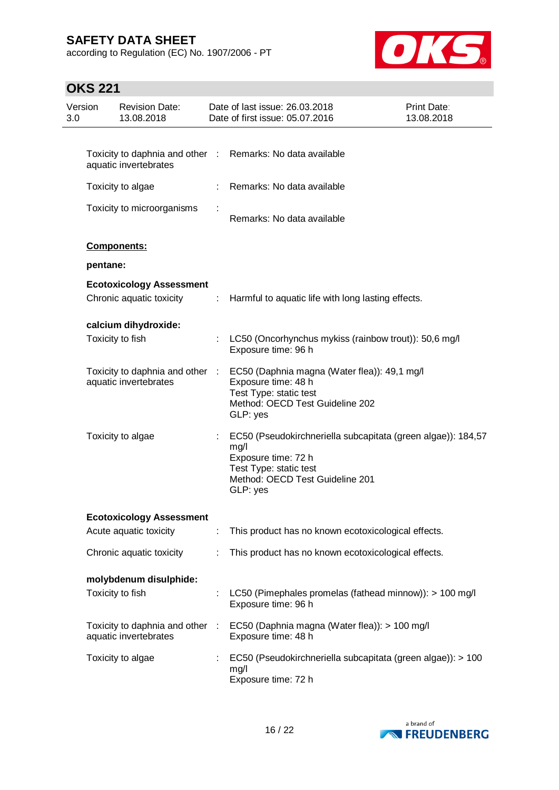according to Regulation (EC) No. 1907/2006 - PT



# **OKS 221**

| Version<br>3.0 | <b>Revision Date:</b><br>13.08.2018                         |      | Date of last issue: 26.03.2018<br>Date of first issue: 05.07.2016                                                                                                    | Print Date:<br>13.08.2018 |
|----------------|-------------------------------------------------------------|------|----------------------------------------------------------------------------------------------------------------------------------------------------------------------|---------------------------|
|                |                                                             |      |                                                                                                                                                                      |                           |
|                | Toxicity to daphnia and other :<br>aquatic invertebrates    |      | Remarks: No data available                                                                                                                                           |                           |
|                | Toxicity to algae                                           |      | Remarks: No data available                                                                                                                                           |                           |
|                | Toxicity to microorganisms                                  |      | Remarks: No data available                                                                                                                                           |                           |
|                | Components:                                                 |      |                                                                                                                                                                      |                           |
|                | pentane:                                                    |      |                                                                                                                                                                      |                           |
|                | <b>Ecotoxicology Assessment</b><br>Chronic aquatic toxicity | ÷    | Harmful to aquatic life with long lasting effects.                                                                                                                   |                           |
|                | calcium dihydroxide:                                        |      |                                                                                                                                                                      |                           |
|                | Toxicity to fish                                            |      | LC50 (Oncorhynchus mykiss (rainbow trout)): 50,6 mg/l<br>Exposure time: 96 h                                                                                         |                           |
|                | Toxicity to daphnia and other<br>aquatic invertebrates      | - 11 | EC50 (Daphnia magna (Water flea)): 49,1 mg/l<br>Exposure time: 48 h<br>Test Type: static test<br>Method: OECD Test Guideline 202<br>GLP: yes                         |                           |
|                | Toxicity to algae                                           |      | EC50 (Pseudokirchneriella subcapitata (green algae)): 184,57<br>mg/l<br>Exposure time: 72 h<br>Test Type: static test<br>Method: OECD Test Guideline 201<br>GLP: yes |                           |
|                | <b>Ecotoxicology Assessment</b>                             |      |                                                                                                                                                                      |                           |
|                | Acute aquatic toxicity                                      | ÷.   | This product has no known ecotoxicological effects.                                                                                                                  |                           |
|                | Chronic aquatic toxicity                                    |      | This product has no known ecotoxicological effects.                                                                                                                  |                           |
|                | molybdenum disulphide:                                      |      |                                                                                                                                                                      |                           |
|                | Toxicity to fish                                            |      | LC50 (Pimephales promelas (fathead minnow)): > 100 mg/l<br>Exposure time: 96 h                                                                                       |                           |
|                | Toxicity to daphnia and other :<br>aquatic invertebrates    |      | EC50 (Daphnia magna (Water flea)): > 100 mg/l<br>Exposure time: 48 h                                                                                                 |                           |
|                | Toxicity to algae                                           |      | EC50 (Pseudokirchneriella subcapitata (green algae)): > 100<br>mg/l<br>Exposure time: 72 h                                                                           |                           |

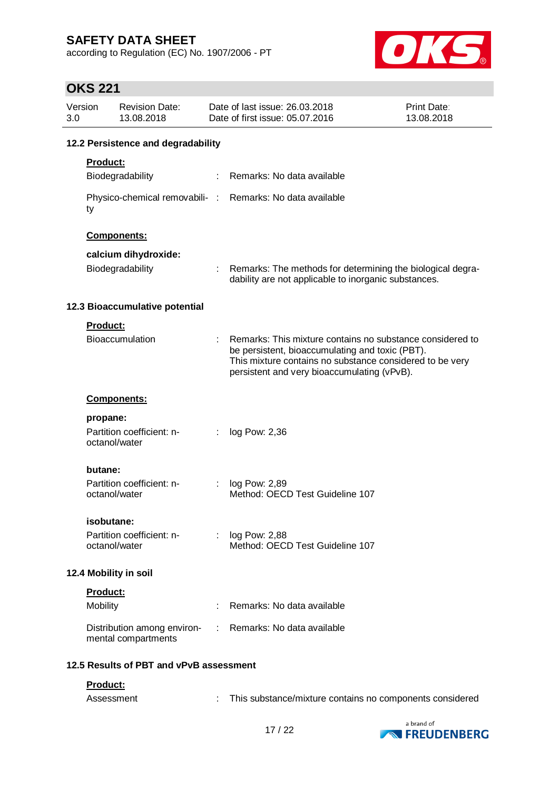according to Regulation (EC) No. 1907/2006 - PT



# **OKS 221**

| Version<br>3.0                          |                 | <b>Revision Date:</b><br>13.08.2018                |    | Date of last issue: 26,03,2018<br>Date of first issue: 05.07.2016                                                                                                                                                       | <b>Print Date:</b><br>13.08.2018 |
|-----------------------------------------|-----------------|----------------------------------------------------|----|-------------------------------------------------------------------------------------------------------------------------------------------------------------------------------------------------------------------------|----------------------------------|
|                                         |                 | 12.2 Persistence and degradability                 |    |                                                                                                                                                                                                                         |                                  |
|                                         | Product:        |                                                    |    |                                                                                                                                                                                                                         |                                  |
|                                         |                 | Biodegradability                                   |    | Remarks: No data available                                                                                                                                                                                              |                                  |
|                                         | ty              |                                                    |    | Physico-chemical removabili- : Remarks: No data available                                                                                                                                                               |                                  |
|                                         |                 | Components:                                        |    |                                                                                                                                                                                                                         |                                  |
|                                         |                 | calcium dihydroxide:                               |    |                                                                                                                                                                                                                         |                                  |
|                                         |                 | Biodegradability                                   |    | Remarks: The methods for determining the biological degra-<br>dability are not applicable to inorganic substances.                                                                                                      |                                  |
|                                         |                 | 12.3 Bioaccumulative potential                     |    |                                                                                                                                                                                                                         |                                  |
|                                         | Product:        |                                                    |    |                                                                                                                                                                                                                         |                                  |
|                                         |                 | <b>Bioaccumulation</b>                             |    | Remarks: This mixture contains no substance considered to<br>be persistent, bioaccumulating and toxic (PBT).<br>This mixture contains no substance considered to be very<br>persistent and very bioaccumulating (vPvB). |                                  |
|                                         |                 | <b>Components:</b>                                 |    |                                                                                                                                                                                                                         |                                  |
|                                         | propane:        |                                                    |    |                                                                                                                                                                                                                         |                                  |
|                                         |                 | Partition coefficient: n-<br>octanol/water         | ÷  | log Pow: 2,36                                                                                                                                                                                                           |                                  |
|                                         | butane:         |                                                    |    |                                                                                                                                                                                                                         |                                  |
|                                         |                 | Partition coefficient: n-<br>octanol/water         |    | log Pow: 2,89<br>Method: OECD Test Guideline 107                                                                                                                                                                        |                                  |
|                                         | isobutane:      |                                                    |    |                                                                                                                                                                                                                         |                                  |
|                                         |                 | Partition coefficient: n-<br>octanol/water         |    | : log Pow: 2,88<br>Method: OECD Test Guideline 107                                                                                                                                                                      |                                  |
|                                         |                 | 12.4 Mobility in soil                              |    |                                                                                                                                                                                                                         |                                  |
|                                         | Product:        |                                                    |    |                                                                                                                                                                                                                         |                                  |
|                                         | <b>Mobility</b> |                                                    |    | Remarks: No data available                                                                                                                                                                                              |                                  |
|                                         |                 | Distribution among environ-<br>mental compartments | ÷. | Remarks: No data available                                                                                                                                                                                              |                                  |
| 12.5 Results of PBT and vPvB assessment |                 |                                                    |    |                                                                                                                                                                                                                         |                                  |
|                                         | Product:        |                                                    |    |                                                                                                                                                                                                                         |                                  |



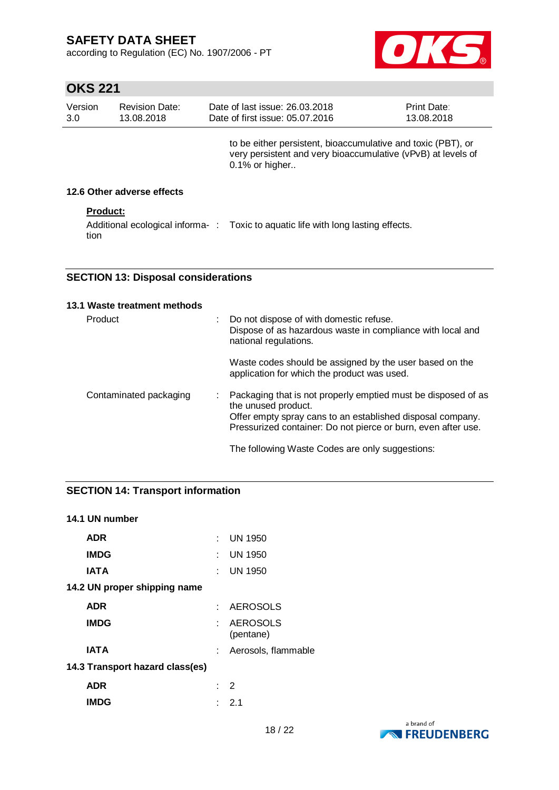according to Regulation (EC) No. 1907/2006 - PT



# **OKS 221**

| Version<br>3.0 | <b>Revision Date:</b><br>13.08.2018 | Date of last issue: 26,03,2018<br>Date of first issue: 05.07.2016                                                                              | Print Date:<br>13.08.2018 |
|----------------|-------------------------------------|------------------------------------------------------------------------------------------------------------------------------------------------|---------------------------|
|                |                                     | to be either persistent, bioaccumulative and toxic (PBT), or<br>very persistent and very bioaccumulative (vPvB) at levels of<br>0.1% or higher |                           |
|                | 12.6 Other adverse effects          |                                                                                                                                                |                           |
|                | <b>Product:</b>                     |                                                                                                                                                |                           |
|                | tion                                | Additional ecological informa-: Toxic to aquatic life with long lasting effects.                                                               |                           |

### **SECTION 13: Disposal considerations**

| 13.1 Waste treatment methods |   |                                                                                                                                                                                                                     |
|------------------------------|---|---------------------------------------------------------------------------------------------------------------------------------------------------------------------------------------------------------------------|
| Product                      | ÷ | Do not dispose of with domestic refuse.<br>Dispose of as hazardous waste in compliance with local and<br>national regulations.                                                                                      |
|                              |   | Waste codes should be assigned by the user based on the<br>application for which the product was used.                                                                                                              |
| Contaminated packaging       |   | Packaging that is not properly emptied must be disposed of as<br>the unused product.<br>Offer empty spray cans to an established disposal company.<br>Pressurized container: Do not pierce or burn, even after use. |
|                              |   | The following Waste Codes are only suggestions:                                                                                                                                                                     |

### **SECTION 14: Transport information**

### **14.1 UN number**

| <b>ADR</b>                      |       | $:$ UN 1950                  |
|---------------------------------|-------|------------------------------|
| <b>IMDG</b>                     | t in  | <b>UN 1950</b>               |
| <b>IATA</b>                     | t - 1 | <b>UN 1950</b>               |
| 14.2 UN proper shipping name    |       |                              |
| <b>ADR</b>                      | t.    | <b>AEROSOLS</b>              |
| <b>IMDG</b>                     |       | <b>AEROSOLS</b><br>(pentane) |
| <b>IATA</b>                     |       | Aerosols, flammable          |
| 14.3 Transport hazard class(es) |       |                              |
| <b>ADR</b>                      |       | : 2                          |
| <b>IMDG</b>                     |       | : 2.1                        |

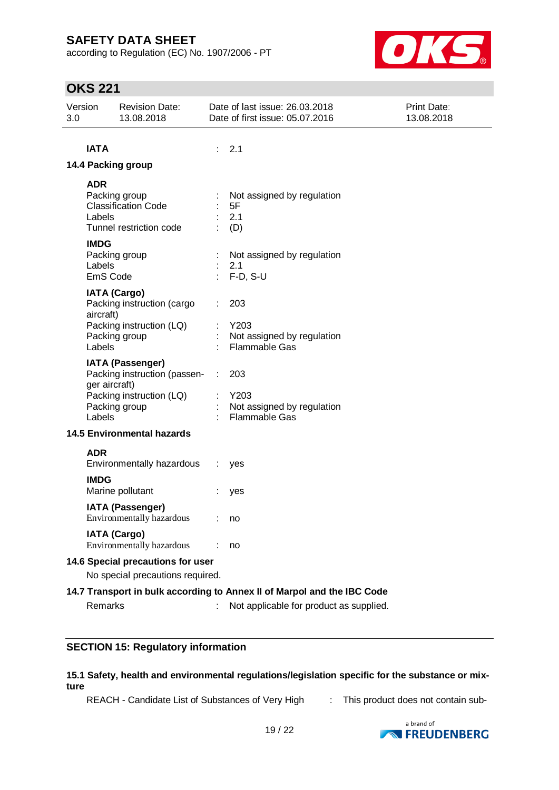according to Regulation (EC) No. 1907/2006 - PT



## **OKS 221**

| Version<br>3.0 |                                   | <b>Revision Date:</b><br>13.08.2018                                                            |            | Date of last issue: 26.03.2018<br>Date of first issue: 05.07.2016       | Print Date:<br>13.08.2018 |  |
|----------------|-----------------------------------|------------------------------------------------------------------------------------------------|------------|-------------------------------------------------------------------------|---------------------------|--|
|                |                                   |                                                                                                |            |                                                                         |                           |  |
|                | <b>IATA</b>                       |                                                                                                |            | 2.1                                                                     |                           |  |
|                |                                   | 14.4 Packing group                                                                             |            |                                                                         |                           |  |
|                | <b>ADR</b><br>Labels              | Packing group<br><b>Classification Code</b><br>Tunnel restriction code                         |            | Not assigned by regulation<br>5F<br>2.1<br>(D)                          |                           |  |
|                | <b>IMDG</b><br>Labels<br>EmS Code | Packing group                                                                                  | $\epsilon$ | Not assigned by regulation<br>2.1<br>$F-D, S-U$                         |                           |  |
|                | aircraft)<br>Labels               | <b>IATA (Cargo)</b><br>Packing instruction (cargo<br>Packing instruction (LQ)<br>Packing group |            | 203<br>Y203<br>Not assigned by regulation<br><b>Flammable Gas</b>       |                           |  |
|                | ger aircraft)<br>Labels           | IATA (Passenger)<br>Packing instruction (passen-<br>Packing instruction (LQ)<br>Packing group  | ÷.         | 203<br>$:$ Y203<br>Not assigned by regulation<br>Flammable Gas          |                           |  |
|                |                                   | <b>14.5 Environmental hazards</b>                                                              |            |                                                                         |                           |  |
|                | <b>ADR</b>                        | Environmentally hazardous                                                                      |            | $:$ yes                                                                 |                           |  |
|                | <b>IMDG</b>                       | Marine pollutant                                                                               |            | yes                                                                     |                           |  |
|                |                                   | <b>IATA (Passenger)</b><br>Environmentally hazardous                                           |            | : no                                                                    |                           |  |
|                |                                   | <b>IATA (Cargo)</b><br>Environmentally hazardous                                               |            | no                                                                      |                           |  |
|                |                                   | 14.6 Special precautions for user                                                              |            |                                                                         |                           |  |
|                |                                   | No special precautions required.                                                               |            |                                                                         |                           |  |
|                |                                   |                                                                                                |            | 14.7 Transport in bulk according to Annex II of Marpol and the IBC Code |                           |  |
|                | <b>Remarks</b>                    |                                                                                                |            | Not applicable for product as supplied.                                 |                           |  |

### **SECTION 15: Regulatory information**

#### **15.1 Safety, health and environmental regulations/legislation specific for the substance or mixture**

REACH - Candidate List of Substances of Very High : This product does not contain sub-

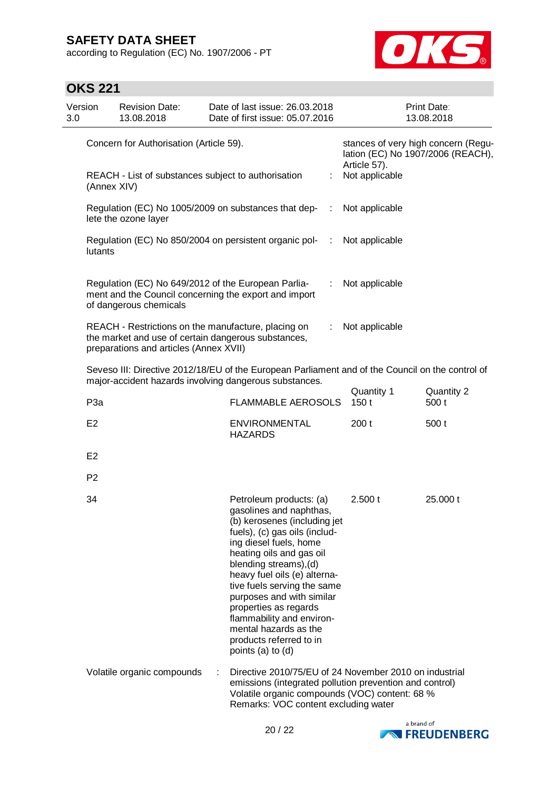according to Regulation (EC) No. 1907/2006 - PT



# **OKS 221**

| Version<br>3.0 |                                         | <b>Revision Date:</b><br>13.08.2018                                                                                                                  |   | Date of last issue: 26.03.2018<br>Date of first issue: 05.07.2016                                                                                                                                                                                                                                                                                                                                                              |               |                    | Print Date:<br>13.08.2018                                                |
|----------------|-----------------------------------------|------------------------------------------------------------------------------------------------------------------------------------------------------|---|--------------------------------------------------------------------------------------------------------------------------------------------------------------------------------------------------------------------------------------------------------------------------------------------------------------------------------------------------------------------------------------------------------------------------------|---------------|--------------------|--------------------------------------------------------------------------|
|                | Concern for Authorisation (Article 59). |                                                                                                                                                      |   |                                                                                                                                                                                                                                                                                                                                                                                                                                |               | Article 57).       | stances of very high concern (Regu-<br>lation (EC) No 1907/2006 (REACH), |
|                | (Annex XIV)                             | REACH - List of substances subject to authorisation                                                                                                  |   |                                                                                                                                                                                                                                                                                                                                                                                                                                | t.            | Not applicable     |                                                                          |
|                |                                         | lete the ozone layer                                                                                                                                 |   | Regulation (EC) No 1005/2009 on substances that dep-                                                                                                                                                                                                                                                                                                                                                                           | $\mathcal{L}$ | Not applicable     |                                                                          |
|                | lutants                                 |                                                                                                                                                      |   | Regulation (EC) No 850/2004 on persistent organic pol-                                                                                                                                                                                                                                                                                                                                                                         | $\sim$ 1.     | Not applicable     |                                                                          |
|                |                                         | Regulation (EC) No 649/2012 of the European Parlia-<br>of dangerous chemicals                                                                        |   | ment and the Council concerning the export and import                                                                                                                                                                                                                                                                                                                                                                          | ÷             | Not applicable     |                                                                          |
|                |                                         | REACH - Restrictions on the manufacture, placing on<br>the market and use of certain dangerous substances,<br>preparations and articles (Annex XVII) |   |                                                                                                                                                                                                                                                                                                                                                                                                                                | ÷             | Not applicable     |                                                                          |
|                |                                         |                                                                                                                                                      |   | Seveso III: Directive 2012/18/EU of the European Parliament and of the Council on the control of<br>major-accident hazards involving dangerous substances.                                                                                                                                                                                                                                                                     |               |                    |                                                                          |
|                | P <sub>3a</sub>                         |                                                                                                                                                      |   | <b>FLAMMABLE AEROSOLS</b>                                                                                                                                                                                                                                                                                                                                                                                                      |               | Quantity 1<br>150t | Quantity 2<br>500 t                                                      |
|                | E <sub>2</sub>                          |                                                                                                                                                      |   | <b>ENVIRONMENTAL</b><br><b>HAZARDS</b>                                                                                                                                                                                                                                                                                                                                                                                         |               | 200t               | 500 t                                                                    |
|                | E <sub>2</sub>                          |                                                                                                                                                      |   |                                                                                                                                                                                                                                                                                                                                                                                                                                |               |                    |                                                                          |
|                | P <sub>2</sub>                          |                                                                                                                                                      |   |                                                                                                                                                                                                                                                                                                                                                                                                                                |               |                    |                                                                          |
|                | 34                                      |                                                                                                                                                      |   | Petroleum products: (a)<br>gasolines and naphthas,<br>(b) kerosenes (including jet<br>fuels), (c) gas oils (includ-<br>ing diesel fuels, home<br>heating oils and gas oil<br>blending streams), (d)<br>heavy fuel oils (e) alterna-<br>tive fuels serving the same<br>purposes and with similar<br>properties as regards<br>flammability and environ-<br>mental hazards as the<br>products referred to in<br>points (a) to (d) |               | 2.500 t            | 25.000 t                                                                 |
|                |                                         | Volatile organic compounds                                                                                                                           | ÷ | Directive 2010/75/EU of 24 November 2010 on industrial<br>emissions (integrated pollution prevention and control)<br>Volatile organic compounds (VOC) content: 68 %<br>Remarks: VOC content excluding water                                                                                                                                                                                                                    |               |                    |                                                                          |

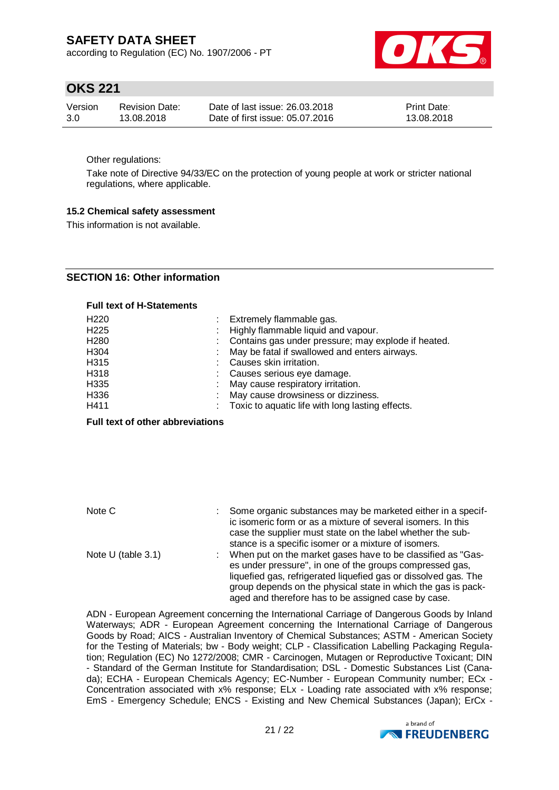according to Regulation (EC) No. 1907/2006 - PT



## **OKS 221**

| Version | Revision Date: | Date of last issue: 26,03,2018  | <b>Print Date:</b> |
|---------|----------------|---------------------------------|--------------------|
| 3.0     | 13.08.2018     | Date of first issue: 05.07.2016 | 13.08.2018         |

Other regulations:

Take note of Directive 94/33/EC on the protection of young people at work or stricter national regulations, where applicable.

#### **15.2 Chemical safety assessment**

This information is not available.

### **SECTION 16: Other information**

#### **Full text of H-Statements**

| H <sub>220</sub> | : Extremely flammable gas.                            |
|------------------|-------------------------------------------------------|
| H <sub>225</sub> | : Highly flammable liquid and vapour.                 |
| H <sub>280</sub> | : Contains gas under pressure; may explode if heated. |
| H304             | : May be fatal if swallowed and enters airways.       |
| H315             | Causes skin irritation.                               |
| H318             | : Causes serious eye damage.                          |
| H335             | : May cause respiratory irritation.                   |
| H336             | May cause drowsiness or dizziness.                    |
| H411             | : Toxic to aquatic life with long lasting effects.    |
|                  |                                                       |

#### **Full text of other abbreviations**

| Note C               | Some organic substances may be marketed either in a specif-<br>ic isomeric form or as a mixture of several isomers. In this<br>case the supplier must state on the label whether the sub- |
|----------------------|-------------------------------------------------------------------------------------------------------------------------------------------------------------------------------------------|
| Note $U$ (table 3.1) | stance is a specific isomer or a mixture of isomers.<br>When put on the market gases have to be classified as "Gas-                                                                       |
|                      | es under pressure", in one of the groups compressed gas,                                                                                                                                  |
|                      | liquefied gas, refrigerated liquefied gas or dissolved gas. The                                                                                                                           |
|                      | group depends on the physical state in which the gas is pack-                                                                                                                             |
|                      | aged and therefore has to be assigned case by case.                                                                                                                                       |

ADN - European Agreement concerning the International Carriage of Dangerous Goods by Inland Waterways; ADR - European Agreement concerning the International Carriage of Dangerous Goods by Road; AICS - Australian Inventory of Chemical Substances; ASTM - American Society for the Testing of Materials; bw - Body weight; CLP - Classification Labelling Packaging Regulation; Regulation (EC) No 1272/2008; CMR - Carcinogen, Mutagen or Reproductive Toxicant; DIN - Standard of the German Institute for Standardisation; DSL - Domestic Substances List (Canada); ECHA - European Chemicals Agency; EC-Number - European Community number; ECx - Concentration associated with x% response; ELx - Loading rate associated with x% response; EmS - Emergency Schedule; ENCS - Existing and New Chemical Substances (Japan); ErCx -